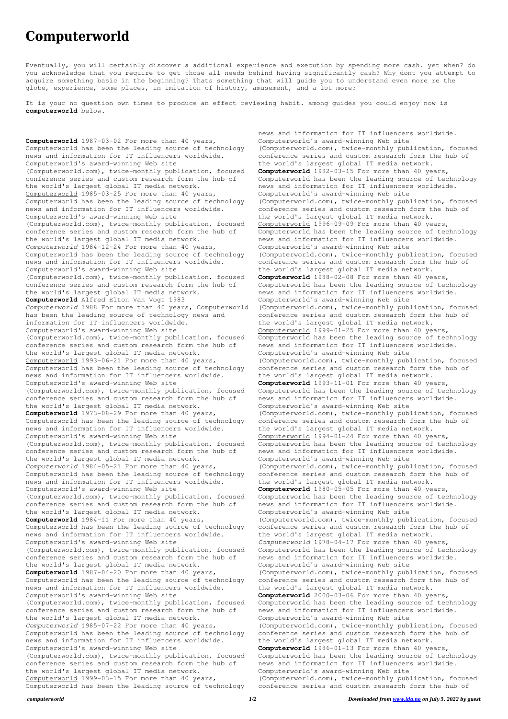## **Computerworld**

Eventually, you will certainly discover a additional experience and execution by spending more cash. yet when? do you acknowledge that you require to get those all needs behind having significantly cash? Why dont you attempt to acquire something basic in the beginning? Thats something that will guide you to understand even more re the globe, experience, some places, in imitation of history, amusement, and a lot more?

It is your no question own times to produce an effect reviewing habit. among guides you could enjoy now is **computerworld** below.

**Computerworld** 1987-03-02 For more than 40 years, Computerworld has been the leading source of technology news and information for IT influencers worldwide. Computerworld's award-winning Web site (Computerworld.com), twice-monthly publication, focused conference series and custom research form the hub of the world's largest global IT media network. Computerworld 1985-03-25 For more than 40 years, Computerworld has been the leading source of technology news and information for IT influencers worldwide. Computerworld's award-winning Web site (Computerworld.com), twice-monthly publication, focused conference series and custom research form the hub of the world's largest global IT media network. *Computerworld* 1984-12-24 For more than 40 years, Computerworld has been the leading source of technology news and information for IT influencers worldwide. Computerworld's award-winning Web site (Computerworld.com), twice-monthly publication, focused conference series and custom research form the hub of the world's largest global IT media network. **Computerworld** Alfred Elton Van Vogt 1983 *Computerworld* 1988 For more than 40 years, Computerworld has been the leading source of technology news and information for IT influencers worldwide. Computerworld's award-winning Web site (Computerworld.com), twice-monthly publication, focused conference series and custom research form the hub of the world's largest global IT media network. Computerworld 1993-06-21 For more than 40 years, Computerworld has been the leading source of technology news and information for IT influencers worldwide. Computerworld's award-winning Web site (Computerworld.com), twice-monthly publication, focused conference series and custom research form the hub of the world's largest global IT media network. **Computerworld** 1973-08-29 For more than 40 years, Computerworld has been the leading source of technology news and information for IT influencers worldwide. Computerworld's award-winning Web site (Computerworld.com), twice-monthly publication, focused conference series and custom research form the hub of the world's largest global IT media network. *Computerworld* 1984-05-21 For more than 40 years, Computerworld has been the leading source of technology news and information for IT influencers worldwide. Computerworld's award-winning Web site (Computerworld.com), twice-monthly publication, focused conference series and custom research form the hub of the world's largest global IT media network. **Computerworld** 1984-11 For more than 40 years, Computerworld has been the leading source of technology news and information for IT influencers worldwide. Computerworld's award-winning Web site (Computerworld.com), twice-monthly publication, focused conference series and custom research form the hub of the world's largest global IT media network. **Computerworld** 1987-04-20 For more than 40 years, Computerworld has been the leading source of technology news and information for IT influencers worldwide. Computerworld's award-winning Web site (Computerworld.com), twice-monthly publication, focused conference series and custom research form the hub of the world's largest global IT media network. *Computerworld* 1985-07-22 For more than 40 years, Computerworld has been the leading source of technology news and information for IT influencers worldwide. Computerworld's award-winning Web site (Computerworld.com), twice-monthly publication, focused conference series and custom research form the hub of the world's largest global IT media network. Computerworld 1999-03-15 For more than 40 years, Computerworld has been the leading source of technology

news and information for IT influencers worldwide. Computerworld's award-winning Web site (Computerworld.com), twice-monthly publication, focused conference series and custom research form the hub of the world's largest global IT media network. **Computerworld** 1982-03-15 For more than 40 years, Computerworld has been the leading source of technology news and information for IT influencers worldwide. Computerworld's award-winning Web site (Computerworld.com), twice-monthly publication, focused conference series and custom research form the hub of the world's largest global IT media network. Computerworld 1996-09-09 For more than 40 years, Computerworld has been the leading source of technology news and information for IT influencers worldwide. Computerworld's award-winning Web site (Computerworld.com), twice-monthly publication, focused conference series and custom research form the hub of the world's largest global IT media network. **Computerworld** 1988-02-08 For more than 40 years, Computerworld has been the leading source of technology news and information for IT influencers worldwide. Computerworld's award-winning Web site (Computerworld.com), twice-monthly publication, focused conference series and custom research form the hub of the world's largest global IT media network. Computerworld 1999-01-25 For more than 40 years, Computerworld has been the leading source of technology news and information for IT influencers worldwide. Computerworld's award-winning Web site (Computerworld.com), twice-monthly publication, focused conference series and custom research form the hub of the world's largest global IT media network. **Computerworld** 1993-11-01 For more than 40 years, Computerworld has been the leading source of technology news and information for IT influencers worldwide. Computerworld's award-winning Web site (Computerworld.com), twice-monthly publication, focused conference series and custom research form the hub of the world's largest global IT media network. Computerworld 1994-01-24 For more than 40 years, Computerworld has been the leading source of technology news and information for IT influencers worldwide. Computerworld's award-winning Web site (Computerworld.com), twice-monthly publication, focused conference series and custom research form the hub of the world's largest global IT media network. **Computerworld** 1980-05-05 For more than 40 years, Computerworld has been the leading source of technology news and information for IT influencers worldwide. Computerworld's award-winning Web site (Computerworld.com), twice-monthly publication, focused conference series and custom research form the hub of the world's largest global IT media network. *Computerworld* 1978-04-17 For more than 40 years, Computerworld has been the leading source of technology news and information for IT influencers worldwide. Computerworld's award-winning Web site (Computerworld.com), twice-monthly publication, focused conference series and custom research form the hub of the world's largest global IT media network. **Computerworld** 2000-03-06 For more than 40 years, Computerworld has been the leading source of technology news and information for IT influencers worldwide. Computerworld's award-winning Web site (Computerworld.com), twice-monthly publication, focused conference series and custom research form the hub of the world's largest global IT media network. **Computerworld** 1986-01-13 For more than 40 years, Computerworld has been the leading source of technology news and information for IT influencers worldwide. Computerworld's award-winning Web site (Computerworld.com), twice-monthly publication, focused conference series and custom research form the hub of